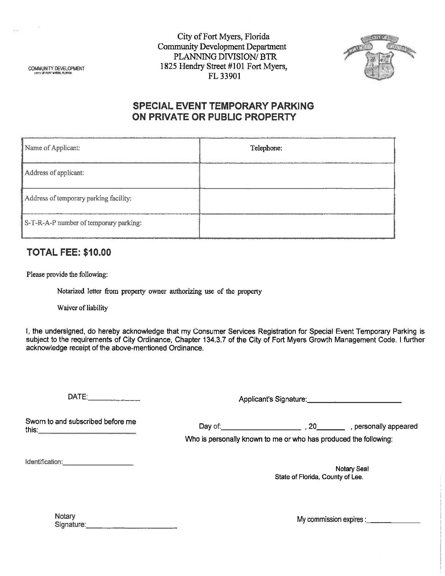City of Fort Myers, Florida Community Development Department **PLANNING DIVISION/ BTR** COMMUNITY DEVELOPMENT 1825 Hendry Street #101 Fort Myers, . FL 33901



## **SPECIAL EVENT TEMPORARY PARKING ON PRIVATE OR PUBLIC PROPERTY**

| Name of Applicant:                     | Telephone: |  |  |
|----------------------------------------|------------|--|--|
| Address of applicant:                  |            |  |  |
| Address of temporary parking facility: |            |  |  |
| S-T-R-A-P number of temporary parking: |            |  |  |

## **TOTAL FEE: \$10.00**

Please provide the following:

Notarized letter from property owner authorizing use of the property

Waiver of liability

I, the undersigned, do hereby acknowledge that my Consumer Services Registration for Special Event Temporary Parking is subject to the requirements of City Ordinance, Chapter 134.3.7 of the City of Fort Myers Growth Management Code. I further acknowledge receipt of the above-mentioned Ordinance.

DATE: \_\_\_\_ \_ Applicant's Signature: \_\_\_\_\_\_\_\_\_ \_

Sworn to and subscribed before me this: \_\_\_\_\_\_\_\_\_ \_ Day of: \_\_\_\_\_\_\_\_ , 20 \_\_ \_ , personally appeared

Who is personally known to me or who has produced the following:

Identification: \_\_\_\_\_\_ \_

Notary Seal State of Florida, County of Lee.

| Notary     |  |  |
|------------|--|--|
| Signature: |  |  |

My commission expires: \_\_\_\_\_\_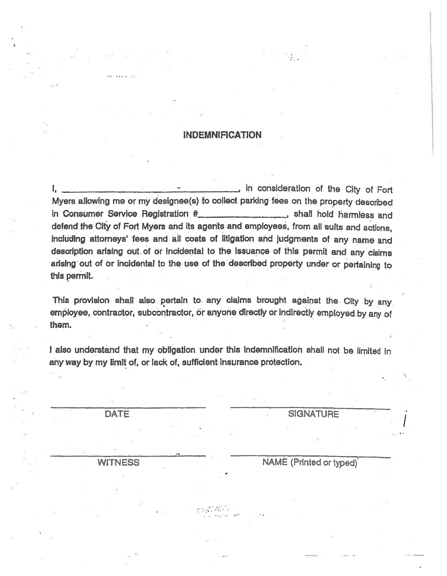## **INDEMNIFICATION**

in consideration of the City of Fort Myers allowing me or my designee(s) to collect parking fees on the property described in Consumer Service Registration #\_\_\_\_\_\_\_\_\_\_\_\_\_\_\_\_\_\_\_\_\_\_\_ shall hold harmless and defend the City of Fort Myers and its agents and employees, from all suits and actions, including attorneys' fees and all costs of litigation and judgments of any name and description arising out of or incidental to the issuance of this permit and any claims arising out of or incidental to the use of the described property under or pertaining to this permit.

This provision shall also pertain to any claims brought against the City by any employee, contractor, subcontractor, or anyone directly or indirectly employed by any of them.

I also understand that my obligation under this indemnification shall not be limited in any way by my limit of, or lack of, sufficient insurance protection.

DATE.

**SIGNATURE** 

**WITNESS** 

NAME (Printed or typed)